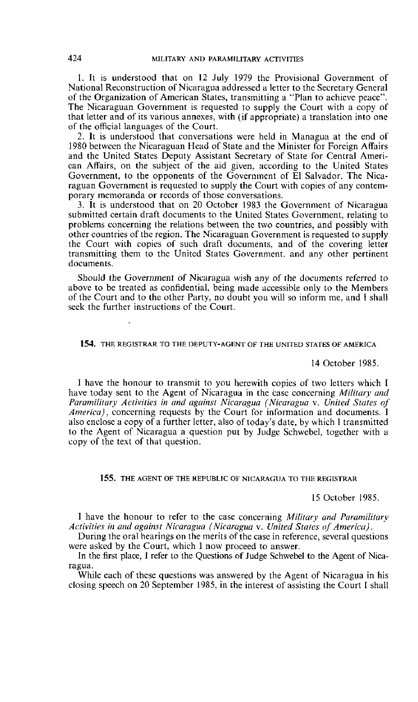1. It is understood that on **12** July 1979 the Provisional Government of National Reconstruction of Nicaragua addressed a letter to the Secretary General of the Organization of American States, transmitting a "Plan to achieve peace". The Nicaraguan Government is requested to supply the Court with a copy of that letter and of its various annexes, with (if appropriate) a translation into one of the official languages of the Court.

2. It is understood that conversations were held in Managua at the end of 1980 between the Nicaraguan Head of State and the Minister for Foreign Affairs and the United States Deputy Assistant Secretary of State for Central American Afïairs, on the subject of the aid given, according to the United States Government, to the opponents of the Government of El Salvador. The Nicaraguan Government is requested to supply the Court with copies of any contemporary memoranda or records of those conversations.

3. It is understood that on 20 October 1983 the Government of Nicaragua submitted certain draft documents to the United States Government, relating to problems concerning the relations between the two countries, and possibly with other countries of the region. The Nicaraguan Government is requested to supply the Court with copies of such draft documents, and of the covering letter transmitting them to the United States Government. and any other pertinent documents.

Should the Government of Nicaragua wish any of the documents referred to above to be treated as confidential, being made accessible only to the Members of the Court and to the other Party, no doubt you will so inform me, and **1** shall seek the further instructions of the Court.

#### 154. THE REGISTRAR TO THE DEPUTY-AGENT OF THE UNITED STATES OF AMERICA

14 October 1985.

**1** have the honour to transmit to you herewith copies of two letters which **1**  have today sent to the Agent of Nicaragua in the case concerning *Military and Paramilitary Activities in and against Nicaragua (Nicaragua v. United States of* America), concerning requests by the Court for information and documents. I also enclose a copy of a further letter, also of today's date. by which **1** transmitted to the Agent of Nicaragua a question put by Jiidge Schwebel, together with **a**  copy of the text of that question.

# 155. THE AGENT OF THE REPUBLIC OF NICARAGUA TO THE REGISTRAR

15 October 1985.

**1** have the honour to refer to the case concerning *Military and Paramilitary Activitirs* **in** *aiirl agaifut Nicaruguo (Nicaragua* **v.** *Unired Stares* (if *Amerim)* .

During the oral hearings on the merits of the case in reference, several questions were asked by the Court, which 1 now proceed to answer.

In the first place, 1 refer to the Questions of Judge Schwebel to the Agent of Nicaragua.

While each of these questions was answered by the Agent of Nicaragua in his closing speech on 20 September 1985, in the interest of assisting the Court I shall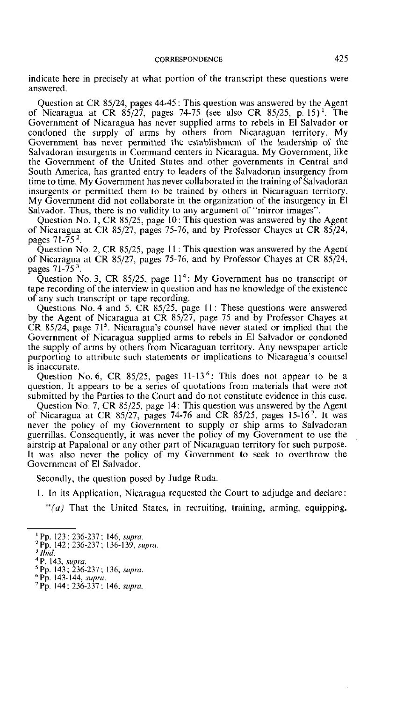indicate here in precisely at what portion of the transcript these questions were answered.

Question at CR 85/24, pages 44-45 : This question was answered by the Agent of Nicaragua at CR 85/27, pages 74-75 (see also CR 85/25, p. 15)'. The Government of Nicaragua has never supplied arms to rebels in El Salvador or condoned the supply of arms by others from Nicaraguan territory. My Government has never permitted the establishment of the leadership of the Salvadoran insurgents in Command centers in Nicaragua. My Government, like the Government of the United States and other governments in Central and South America, has granted entry to leaders of the Salvadoran insurgency from time to time. My Government has never collaborated in the training of Salvadoran insurgents or permitted them to be trained by others in Nicaraguan territory. My Government did not collaborate in the organization of the insurgency in El Salvador. Thus, there is no validity to any argument of "mirror images".

Question No. 1, CR 85/25, page 10: This question was answered by the Agent of Nicaragua at CR 85/27, pages 75-76, and by Professor Chayes at CR 85/24, pages 7 1-75 **2.** 

Question No. 2, CR 85/25, page 11: This question was answered by the Agent of Nicaragua at CR 85/27, pages 75-76, and by Professor Chayes at CR 85/34, pages 7 1-75 **3.** 

Question No. 3, CR 85/25, page  $11<sup>4</sup>$ : My Government has no transcript or tape recording of the interview in question and has no knowledge of the existence of any such transcript or tape recording.

Questions No. 4 and 5, CR 85/25, page 11: These questions were answered by the Agent of Nicaragua at CR 85/27, page 75 and by Professor Chayes at CR 85/24, page  $71<sup>5</sup>$ . Nicaragua's counsel have never stated or implied that the Government of Nicaragua supplied arms to rebels in El Salvador or condoned the supply of arms by others from Nicaraguan territory. Any newspaper article purporting to attribute such statements or implications to Nicaragua's counsel is inaccurate.

Question No. 6, CR 85/25, pages  $11-13^6$ : This does not appear to be a question. It appears to be a secies of quotations from materials that were not submitted by the Parties to the Court and do not constitute evidence in this case.

Question No. 7, CR 85/25, page 14: This question was answered by the Agent of Nicaragua at CR  $85/27$ , pages 74-76 and CR  $85/25$ , pages 15-16<sup>7</sup>. It was never the policy of my Government to supply or ship arms to Salvadoran guerrillas. Consequently, it was never the policy of my Government ta use the airstrip at Papalonal or any other part of Nicaraguan territory for such purpose. It was also never the policy of my Government to seek to overthrow the Government of El Salvador.

Secondly, the question posed by Judge Ruda.

1. In its Application, Nicaragua requested the Court to adjudge and declare :

 $f(a)$  That the United States, in recruiting, training, arming, equipping.

<sup>&#</sup>x27; **Pp.** 123 : 236-237; 146. *supm.* 

<sup>&</sup>lt;sup>2</sup> Pp. 142; 236-237; 136-139, *supra*.

 $3$  lhid.

**P.** 143, *supra.* 

**Pp.** <sup>143</sup>; 236-237 : 136, *sttprii.* ' **Pp. t** 43-144, **supru.** ' Pp. 144 ; 236-237 ; 146, *sirpm.*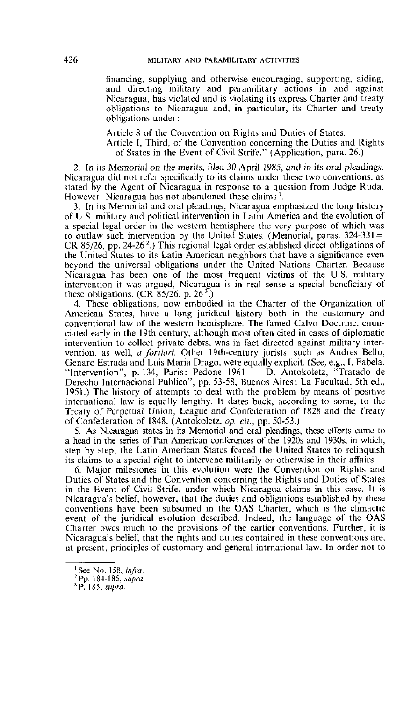financing, supplying and otherwise encouraging, supporting, aiding, and directing military and paramilitary actions in and against Nicaragua, has violated and is violating its express Charter and treaty obligations to Nicaragua and, in particular, its Charter and treaty obligations under :

Article 8 of the Convention on Rights and Duties of States.

Article **1,** Third, of the Convention concerning the Duties and Rights of States in the Event of Civil Strife." (Application, para. 26.)

2. **In** its Memorial on the *merits,* filed 30 **April** 1985, and in its oral pleadings, Nicaragua did not refer specifically to its claims under these two conventions, as stated by the Agent of Nicaragua in response to a question frorn Judge Ruda. However, Nicaragua has not abandoned these claims'.

3. In its Memorial and oral pleadings, Nicaragua emphasized the long history of U.S. military and political intervention in Latin America and the evolution of a special legal order in the western hemisphere the very purpose of which was to outlaw such intervention by the United States. (Memorial, paras.  $324-331 =$ CR 85/26, pp. 24-26<sup>2</sup>.) This regional legal order established direct obligations of the United States to its Latin American neighbors that have a significance even beyond the universal obligations under the United Nations Charter. Because Nicaragua has been one of the most frequent victims of the U.S. military intervention it was argued, Nicaragua is in real sense a special beneficiary of these obligations. (CR  $85/26$ , p.  $26 \frac{3}{2}$ .)

4. These obligations, now embodied in the Charter of the Organization of American States, have a long juridical history both in the customary and conventional law of the western hemisphere. The famed Calvo Doctrine, enunciated early in the 19th century, although most often cited in cases of diplornatic intervention to collect private debts, was in fact directed against military intervention, as well, *a fortiori*. Other 19th-century jurists, such as Andres Bello, Genaro Estrada and Luis Maria Drago, were equally explicit. (See, e.g., I. Fabela, "Intervention", p. 134, Paris: Pedone 1961 - D. Antokolet Genaro Estrada and Luis Maria Drago, were equally explicit. (See, e.g., I. Fabela, ''Intervention'', p. 134, Paris: Pedone 1961 — D. Antokoletz, "Tratado de Derecho Internacional Publico". pp. 53-58, Buenos Aires: La Facultad, 5th ed., 1951.) The history of attempts to deal with the problem by means of positive international law is equally fengthy. lt dates back, according to some, to the Treaty of Perpetual Union, League and Confederation of 1828 and the Treaty of Confederation of 1848. (Antokolet~~ *op.* **cit.,** pp. 50-53.)

5. **As** Nicaragua States in its Memonal and oral pleadings, these efrorts came to a head in the series of Fan American conferences of the 1920s and 1930s, in which, step by step, the Latin American States forced the United States to relinquish its claims to a special right to intervene militarily or otherwise in their afairs.

*6.* Major milestones in this evolution were the Convention on Rights and Duties of States and the Convention concerning the Rights and Duties of States in the Event of Civil Strife, under which Nicaragua claims in this case. It is Nicaragua's belief, however, that the duties and obligations established by these conventions have been subsumed in the OAS Charter, which is the climactic event of the juridical evolution described. lndeed, the language of the OAS Charter owes much to the provisions of the earlier conventions. Further, it is Nicaragua's belief, that the rights and duties contained in these conventions are, at present, principles of custornary and general intrnational law. In order not to

<sup>&#</sup>x27; **See** No. 158, inJru.

**Pp.** 184-185, *sirpm.* 

**P.** 185, **supra.**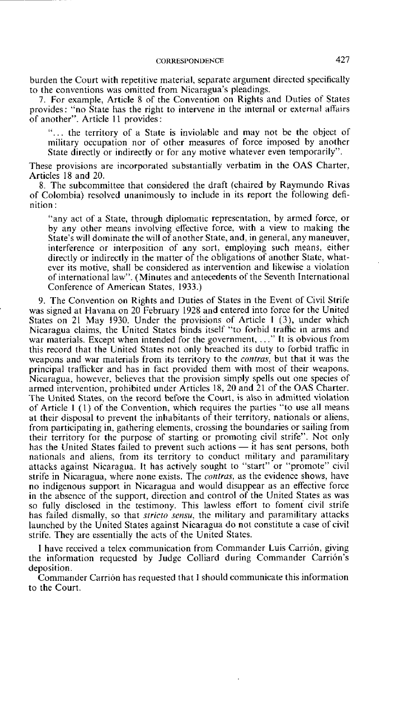burden the Court with repetitive material, separate argument directed specifically to the conventions was omitted from Nicaragua's pleadings.

7. For example, Article 8 of the Convention on Rights and Duties of States provides: "no State has the right to intervene in the interna1 or external affairs of another". Article 11 provides :

"... the territory of a State is inviolable and may not be the object of military occupation nor of other measures of force imposed by another State directly or indirectly or for any motive whatever even temporarily".

These provisions are incorporated substantially verbatim in the OAS Charter, Articles 18 and 20.

8. The subcomrnittee that considered the draft (chaired by Raymundo Rivas of Colombia) resolved unanimously to include in its report the following definition :

"any act of a State, through diplomatic representation, by armed force, or by any other rneans involving effective force, with a view to making the State's will dominate the will of another State, and, in general, any maneuver, interference or interposition of any sort, employing **such** means, either directly or indirectly in the matter of the obligations of another State, whatever its motive, shall be considered as intervention and likewise a violation of international law". (Minutes and antecedents of the Seventh International Conference of American States, 1933.)

9. The Convention on Rights and Duties of States in the Event of Civil Strife was signed at Havana on 20 February 1928 and entered into force for the United States on 21 May 1930. Under the provisions of Article 1 (3), under which Nicaragua claims, the United States binds itself "to forbid traffic in arms and war materials. Except when intended for the government, ..." It is obvious from this record that the United States not only breached its duty to forbid traffic in weapons and war materials from its territory to the *contrus,* but that it was the principal trafficker and has in fact provided them with most of their weapons. Nicaragua, however, believes that the provision simply spells out one species of armed intervention, prohibited under Articles 18, 20 and 21 of the OAS Charter. The United States, on the record before the Court, is also in admitted violation of Article **1** (1) of the Convention, which requires the parties "to use al1 means at their disposal to prevent the inhabitants of their territory, nationals or aliens, from participating in, gathering elements, crossing the boundaries or sailing from their territory for the purpose of starting or promoting civil strife". Not only from participating in, gathering elements, crossing the boundaries or sailing from<br>their territory for the purpose of starting or promoting civil strife". Not only<br>has the United States failed to prevent such actions — it nationals and aliens, from its territory to conduct military and paramilitary attacks against Nicaragua. It has actively sought to "start" or "promote" civil strife in Nicaragua, where none exists. The *cnntrus,* as the evidence shows. have no indigenous support in Nicaragua and would disappear as an effective force so fully disclosed in the testimony. This lawless effort to foment civil strife has faifed dismaliy, so that *stricto senszr,* the military and paramilitary attacks launched by the United States against Nicaragua do not constitute a case of civil strife. They are essentially the acts of the United States.

**<sup>1</sup>**have received a telex communication from Commander Luis Carrion, giving the information requested by Judge Colliard during Commander Carrion's deposition.

Commander Carrion has requested that **1** should communicate this information to the Court.